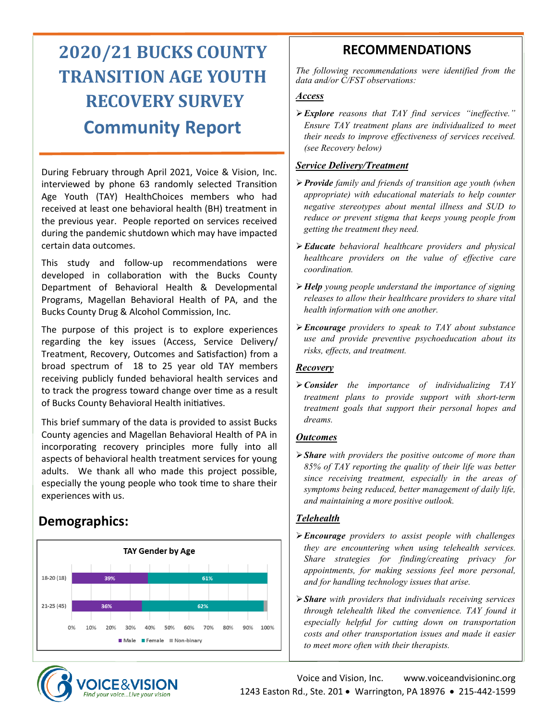# **2020/21 BUCKS COUNTY TRANSITION AGE YOUTH RECOVERY SURVEY Community Report**

During February through April 2021, Voice & Vision, Inc. interviewed by phone 63 randomly selected Transition Age Youth (TAY) HealthChoices members who had received at least one behavioral health (BH) treatment in the previous year. People reported on services received during the pandemic shutdown which may have impacted certain data outcomes.

This study and follow-up recommendations were developed in collaboration with the Bucks County Department of Behavioral Health & Developmental Programs, Magellan Behavioral Health of PA, and the Bucks County Drug & Alcohol Commission, Inc.

The purpose of this project is to explore experiences regarding the key issues (Access, Service Delivery/ Treatment, Recovery, Outcomes and Satisfaction) from a broad spectrum of 18 to 25 year old TAY members receiving publicly funded behavioral health services and to track the progress toward change over time as a result of Bucks County Behavioral Health initiatives.

This brief summary of the data is provided to assist Bucks County agencies and Magellan Behavioral Health of PA in incorporating recovery principles more fully into all aspects of behavioral health treatment services for young adults. We thank all who made this project possible, especially the young people who took time to share their experiences with us.

# **Demographics:**





## **RECOMMENDATIONS**

*The following recommendations were identified from the data and/or C/FST observations:* 

#### *Access*

➢*Explore reasons that TAY find services "ineffective." Ensure TAY treatment plans are individualized to meet their needs to improve effectiveness of services received. (see Recovery below)*

#### *Service Delivery/Treatment*

- ➢*Provide family and friends of transition age youth (when appropriate) with educational materials to help counter negative stereotypes about mental illness and SUD to reduce or prevent stigma that keeps young people from getting the treatment they need.*
- ➢*Educate behavioral healthcare providers and physical healthcare providers on the value of effective care coordination.*
- ➢*Help young people understand the importance of signing releases to allow their healthcare providers to share vital health information with one another.*
- ➢*Encourage providers to speak to TAY about substance use and provide preventive psychoeducation about its risks, effects, and treatment.*

#### *Recovery*

➢*Consider the importance of individualizing TAY treatment plans to provide support with short-term treatment goals that support their personal hopes and dreams.* 

#### *Outcomes*

➢*Share with providers the positive outcome of more than 85% of TAY reporting the quality of their life was better since receiving treatment, especially in the areas of symptoms being reduced, better management of daily life, and maintaining a more positive outlook.*

#### *Telehealth*

- ➢*Encourage providers to assist people with challenges they are encountering when using telehealth services. Share strategies for finding/creating privacy for appointments, for making sessions feel more personal, and for handling technology issues that arise.*
- ➢*Share with providers that individuals receiving services through telehealth liked the convenience. TAY found it especially helpful for cutting down on transportation costs and other transportation issues and made it easier to meet more often with their therapists.*

Voice and Vision, Inc. www.voiceandvisioninc.org 1243 Easton Rd., Ste. 201 • Warrington, PA 18976 • 215-442-1599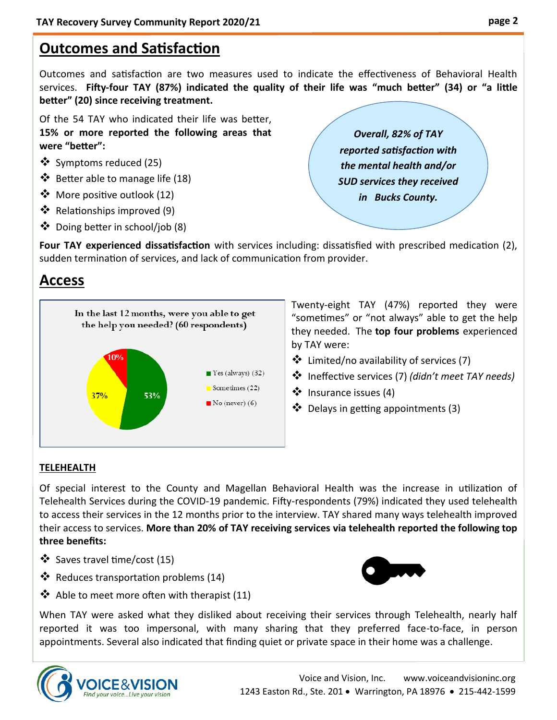# **Outcomes and Satisfaction**

Outcomes and satisfaction are two measures used to indicate the effectiveness of Behavioral Health services. **Fifty-four TAY (87%) indicated the quality of their life was "much better" (34) or "a little better" (20) since receiving treatment.** 

Of the 54 TAY who indicated their life was better, **15% or more reported the following areas that were "better":**

- ❖ Symptoms reduced (25)
- ❖ Better able to manage life (18)
- ❖ More positive outlook (12)
- ❖ Relationships improved (9)
- ❖ Doing better in school/job (8)

*Overall, 82% of TAY reported satisfaction with the mental health and/or SUD services they received in Bucks County.*

**Four TAY experienced dissatisfaction** with services including: dissatisfied with prescribed medication (2), sudden termination of services, and lack of communication from provider.

# **Access**



Twenty-eight TAY (47%) reported they were "sometimes" or "not always" able to get the help they needed. The **top four problems** experienced by TAY were:

- ❖ Limited/no availability of services (7)
- ❖ Ineffective services (7) *(didn't meet TAY needs)*
- ❖ Insurance issues (4)
- ❖ Delays in getting appointments (3)

#### **TELEHEALTH**

Of special interest to the County and Magellan Behavioral Health was the increase in utilization of Telehealth Services during the COVID-19 pandemic. Fifty-respondents (79%) indicated they used telehealth to access their services in the 12 months prior to the interview. TAY shared many ways telehealth improved their access to services. **More than 20% of TAY receiving services via telehealth reported the following top three benefits:**

- ❖ Saves travel time/cost (15)
- ❖ Reduces transportation problems (14)



❖ Able to meet more often with therapist (11)

When TAY were asked what they disliked about receiving their services through Telehealth, nearly half reported it was too impersonal, with many sharing that they preferred face-to-face, in person appointments. Several also indicated that finding quiet or private space in their home was a challenge.

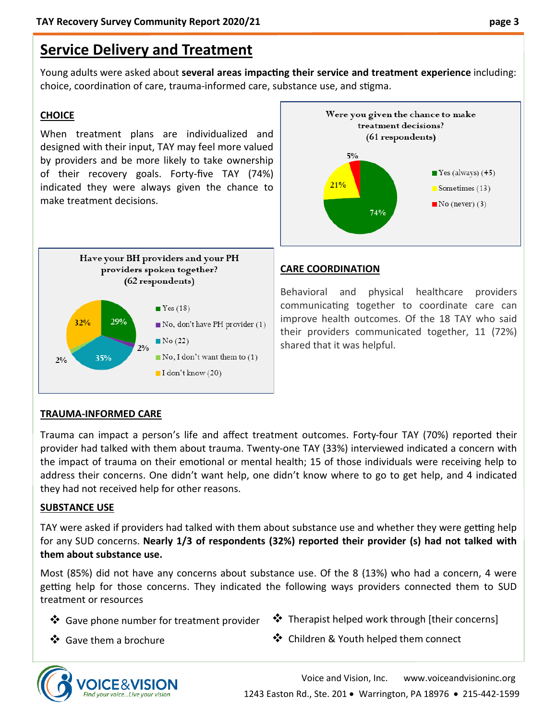# **Service Delivery and Treatment**

Young adults were asked about **several areas impacting their service and treatment experience** including: choice, coordination of care, trauma-informed care, substance use, and stigma.

#### **CHOICE**

When treatment plans are individualized and designed with their input, TAY may feel more valued by providers and be more likely to take ownership of their recovery goals. Forty-five TAY (74%) indicated they were always given the chance to make treatment decisions.





#### **CARE COORDINATION**

Behavioral and physical healthcare providers communicating together to coordinate care can improve health outcomes. Of the 18 TAY who said their providers communicated together, 11 (72%) shared that it was helpful.

#### **TRAUMA-INFORMED CARE**

Trauma can impact a person's life and affect treatment outcomes. Forty-four TAY (70%) reported their provider had talked with them about trauma. Twenty-one TAY (33%) interviewed indicated a concern with the impact of trauma on their emotional or mental health; 15 of those individuals were receiving help to address their concerns. One didn't want help, one didn't know where to go to get help, and 4 indicated they had not received help for other reasons.

#### **SUBSTANCE USE**

TAY were asked if providers had talked with them about substance use and whether they were getting help for any SUD concerns. **Nearly 1/3 of respondents (32%) reported their provider (s) had not talked with them about substance use.**

Most (85%) did not have any concerns about substance use. Of the 8 (13%) who had a concern, 4 were getting help for those concerns. They indicated the following ways providers connected them to SUD treatment or resources

- ❖ Gave phone number for treatment provider
- ❖ Therapist helped work through [their concerns]

❖ Gave them a brochure

❖ Children & Youth helped them connect